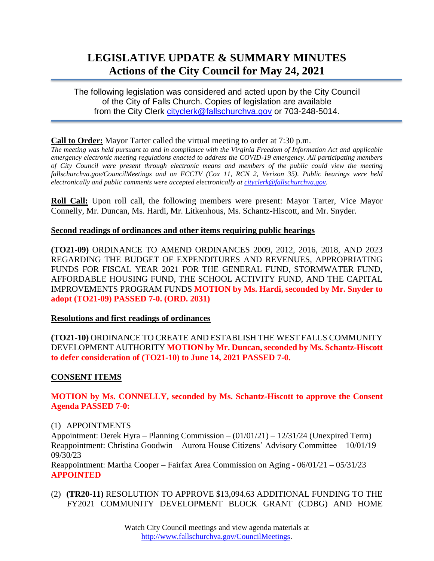# **LEGISLATIVE UPDATE & SUMMARY MINUTES Actions of the City Council for May 24, 2021**

The following legislation was considered and acted upon by the City Council of the City of Falls Church. Copies of legislation are available from the City Clerk [cityclerk@fallschurchva.gov](mailto:cityclerk@fallschurchva.gov) or 703-248-5014.

## **Call to Order:** Mayor Tarter called the virtual meeting to order at 7:30 p.m.

*The meeting was held pursuant to and in compliance with the Virginia Freedom of Information Act and applicable emergency electronic meeting regulations enacted to address the COVID-19 emergency. All participating members of City Council were present through electronic means and members of the public could view the meeting fallschurchva.gov/CouncilMeetings and on FCCTV (Cox 11, RCN 2, Verizon 35). Public hearings were held electronically and public comments were accepted electronically a[t cityclerk@fallschurchva.gov.](mailto:cityclerk@fallschurchva.gov)*

**Roll Call:** Upon roll call, the following members were present: Mayor Tarter, Vice Mayor Connelly, Mr. Duncan, Ms. Hardi, Mr. Litkenhous, Ms. Schantz-Hiscott, and Mr. Snyder.

## **Second readings of ordinances and other items requiring public hearings**

**(TO21-09)** ORDINANCE TO AMEND ORDINANCES 2009, 2012, 2016, 2018, AND 2023 REGARDING THE BUDGET OF EXPENDITURES AND REVENUES, APPROPRIATING FUNDS FOR FISCAL YEAR 2021 FOR THE GENERAL FUND, STORMWATER FUND, AFFORDABLE HOUSING FUND, THE SCHOOL ACTIVITY FUND, AND THE CAPITAL IMPROVEMENTS PROGRAM FUNDS **MOTION by Ms. Hardi, seconded by Mr. Snyder to adopt (TO21-09) PASSED 7-0. (ORD. 2031)**

# **Resolutions and first readings of ordinances**

**(TO21-10)** ORDINANCE TO CREATE AND ESTABLISH THE WEST FALLS COMMUNITY DEVELOPMENT AUTHORITY **MOTION by Mr. Duncan, seconded by Ms. Schantz-Hiscott to defer consideration of (TO21-10) to June 14, 2021 PASSED 7-0.**

# **CONSENT ITEMS**

## **MOTION by Ms. CONNELLY, seconded by Ms. Schantz-Hiscott to approve the Consent Agenda PASSED 7-0:**

#### (1) APPOINTMENTS

Appointment: Derek Hyra – Planning Commission – (01/01/21) – 12/31/24 (Unexpired Term) Reappointment: Christina Goodwin – Aurora House Citizens' Advisory Committee – 10/01/19 – 09/30/23

Reappointment: Martha Cooper – Fairfax Area Commission on Aging - 06/01/21 – 05/31/23 **APPOINTED**

(2) **(TR20-11)** RESOLUTION TO APPROVE \$13,094.63 ADDITIONAL FUNDING TO THE FY2021 COMMUNITY DEVELOPMENT BLOCK GRANT (CDBG) AND HOME